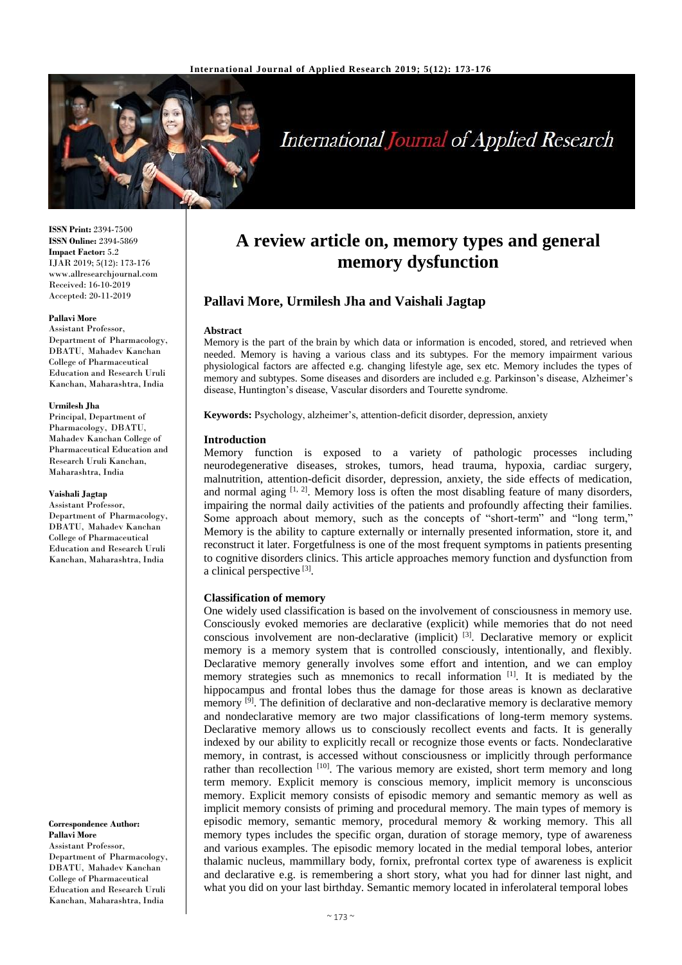

# **International Journal of Applied Research**

**ISSN Print:** 2394-7500 **ISSN Online:** 2394-5869 **Impact Factor:** 5.2 IJAR 2019; 5(12): 173-176 www.allresearchjournal.com Received: 16-10-2019 Accepted: 20-11-2019

#### **Pallavi More**

Assistant Professor, Department of Pharmacology, DBATU, Mahadev Kanchan College of Pharmaceutical Education and Research Uruli Kanchan, Maharashtra, India

#### **Urmilesh Jha**

Principal, Department of Pharmacology, DBATU, Mahadev Kanchan College of Pharmaceutical Education and Research Uruli Kanchan, Maharashtra, India

## **Vaishali Jagtap**

Assistant Professor, Department of Pharmacology, DBATU, Mahadev Kanchan College of Pharmaceutical Education and Research Uruli Kanchan, Maharashtra, India

**Correspondence Author: Pallavi More** Assistant Professor, Department of Pharmacology, DBATU, Mahadev Kanchan College of Pharmaceutical

Education and Research Uruli Kanchan, Maharashtra, India

# **A review article on, memory types and general memory dysfunction**

# **Pallavi More, Urmilesh Jha and Vaishali Jagtap**

#### **Abstract**

Memory is the part of the brain by which data or information is encoded, stored, and retrieved when needed. Memory is having a various class and its subtypes. For the memory impairment various physiological factors are affected e.g. changing lifestyle age, sex etc. Memory includes the types of memory and subtypes. Some diseases and disorders are included e.g. Parkinson's disease, Alzheimer's disease, Huntington's disease, Vascular disorders and Tourette syndrome.

**Keywords:** Psychology, alzheimer's, attention-deficit disorder, depression, anxiety

#### **Introduction**

Memory function is exposed to a variety of pathologic processes including neurodegenerative diseases, strokes, tumors, head trauma, hypoxia, cardiac surgery, malnutrition, attention-deficit disorder, depression, anxiety, the side effects of medication, and normal aging  $[1, 2]$ . Memory loss is often the most disabling feature of many disorders, impairing the normal daily activities of the patients and profoundly affecting their families. Some approach about memory, such as the concepts of "short-term" and "long term," Memory is the ability to capture externally or internally presented information, store it, and reconstruct it later. Forgetfulness is one of the most frequent symptoms in patients presenting to cognitive disorders clinics. This article approaches memory function and dysfunction from a clinical perspective [3].

## **Classification of memory**

One widely used classification is based on the involvement of consciousness in memory use. Consciously evoked memories are declarative (explicit) while memories that do not need conscious involvement are non-declarative (implicit) [3]. Declarative memory or explicit memory is a memory system that is controlled consciously, intentionally, and flexibly. Declarative memory generally involves some effort and intention, and we can employ memory strategies such as mnemonics to recall information [1]. It is mediated by the hippocampus and frontal lobes thus the damage for those areas is known as declarative memory  $[9]$ . The definition of declarative and non-declarative memory is declarative memory and nondeclarative memory are two major classifications of long-term memory systems. Declarative memory allows us to consciously recollect events and facts. It is generally indexed by our ability to explicitly recall or recognize those events or facts. Nondeclarative memory, in contrast, is accessed without consciousness or implicitly through performance rather than recollection  $[10]$ . The various memory are existed, short term memory and long term memory. Explicit memory is conscious memory, implicit memory is unconscious memory. Explicit memory consists of episodic memory and semantic memory as well as implicit memory consists of priming and procedural memory. The main types of memory is episodic memory, semantic memory, procedural memory & working memory. This all memory types includes the specific organ, duration of storage memory, type of awareness and various examples. The episodic memory located in the medial temporal lobes, anterior thalamic nucleus, mammillary body, fornix, prefrontal cortex type of awareness is explicit and declarative e.g. is remembering a short story, what you had for dinner last night, and what you did on your last birthday. Semantic memory located in inferolateral temporal lobes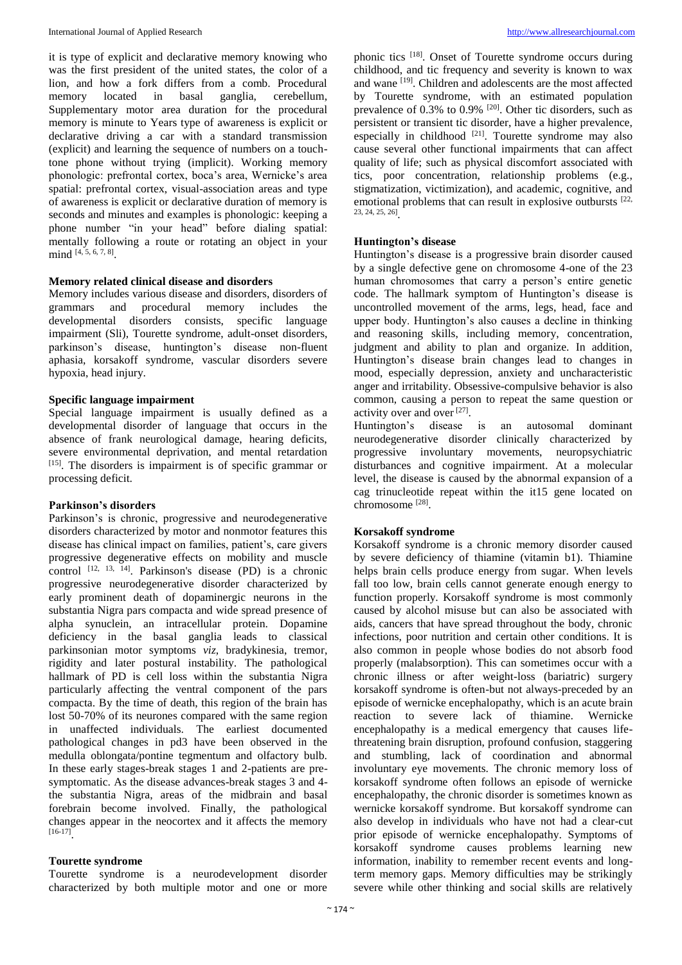it is type of explicit and declarative memory knowing who was the first president of the united states, the color of a lion, and how a fork differs from a comb. Procedural memory located in basal ganglia, cerebellum, Supplementary motor area duration for the procedural memory is minute to Years type of awareness is explicit or declarative driving a car with a standard transmission (explicit) and learning the sequence of numbers on a touchtone phone without trying (implicit). Working memory phonologic: prefrontal cortex, boca's area, Wernicke's area spatial: prefrontal cortex, visual-association areas and type of awareness is explicit or declarative duration of memory is seconds and minutes and examples is phonologic: keeping a phone number "in your head" before dialing spatial: mentally following a route or rotating an object in your mind [4, 5, 6, 7, 8] .

# **Memory related clinical disease and disorders**

Memory includes various disease and disorders, disorders of grammars and procedural memory includes the developmental disorders consists, specific language impairment (Sli), Tourette syndrome, adult-onset disorders, parkinson's disease, huntington's disease non-fluent aphasia, korsakoff syndrome, vascular disorders severe hypoxia, head injury.

# **Specific language impairment**

Special language impairment is usually defined as a developmental disorder of language that occurs in the absence of frank neurological damage, hearing deficits, severe environmental deprivation, and mental retardation [15]. The disorders is impairment is of specific grammar or processing deficit.

#### **Parkinson's disorders**

Parkinson's is chronic, progressive and neurodegenerative disorders characterized by motor and nonmotor features this disease has clinical impact on families, patient's, care givers progressive degenerative effects on mobility and muscle control  $^{[12, 13, 14]}$ . Parkinson's disease (PD) is a chronic progressive neurodegenerative disorder characterized by early prominent death of dopaminergic neurons in the substantia Nigra pars compacta and wide spread presence of alpha synuclein, an intracellular protein. Dopamine deficiency in the basal ganglia leads to classical parkinsonian motor symptoms *viz*, bradykinesia, tremor, rigidity and later postural instability. The pathological hallmark of PD is cell loss within the substantia Nigra particularly affecting the ventral component of the pars compacta. By the time of death, this region of the brain has lost 50-70% of its neurones compared with the same region in unaffected individuals. The earliest documented pathological changes in pd3 have been observed in the medulla oblongata/pontine tegmentum and olfactory bulb. In these early stages-break stages 1 and 2-patients are presymptomatic. As the disease advances-break stages 3 and 4 the substantia Nigra, areas of the midbrain and basal forebrain become involved. Finally, the pathological changes appear in the neocortex and it affects the memory [16-17] .

# **Tourette syndrome**

Tourette syndrome is a neurodevelopment disorder characterized by both multiple motor and one or more phonic tics [18]. Onset of Tourette syndrome occurs during childhood, and tic frequency and severity is known to wax and wane [19]. Children and adolescents are the most affected by Tourette syndrome, with an estimated population prevalence of  $0.3\%$  to  $0.9\%$  <sup>[20]</sup>. Other tic disorders, such as persistent or transient tic disorder, have a higher prevalence, especially in childhood  $[21]$ . Tourette syndrome may also cause several other functional impairments that can affect quality of life; such as physical discomfort associated with tics, poor concentration, relationship problems (e.g., stigmatization, victimization), and academic, cognitive, and emotional problems that can result in explosive outbursts <sup>[22,</sup>] 23, 24, 25, 26] .

# **Huntington's disease**

Huntington's disease is a progressive brain disorder caused by a single defective gene on chromosome 4-one of the 23 human chromosomes that carry a person's entire genetic code. The hallmark symptom of Huntington's disease is uncontrolled movement of the arms, legs, head, face and upper body. Huntington's also causes a decline in thinking and reasoning skills, including memory, concentration, judgment and ability to plan and organize. In addition, Huntington's disease brain changes lead to changes in mood, especially depression, anxiety and uncharacteristic anger and irritability. Obsessive-compulsive behavior is also common, causing a person to repeat the same question or activity over and over [27].

Huntington's disease is an autosomal dominant neurodegenerative disorder clinically characterized by progressive involuntary movements, neuropsychiatric disturbances and cognitive impairment. At a molecular level, the disease is caused by the abnormal expansion of a cag trinucleotide repeat within the it15 gene located on chromosome [28] .

# **Korsakoff syndrome**

Korsakoff syndrome is a chronic memory disorder caused by severe deficiency of thiamine (vitamin b1). Thiamine helps brain cells produce energy from sugar. When levels fall too low, brain cells cannot generate enough energy to function properly. Korsakoff syndrome is most commonly caused by alcohol misuse but can also be associated with aids, cancers that have spread throughout the body, chronic infections, poor nutrition and certain other conditions. It is also common in people whose bodies do not absorb food properly (malabsorption). This can sometimes occur with a chronic illness or after weight-loss (bariatric) surgery korsakoff syndrome is often-but not always-preceded by an episode of wernicke encephalopathy, which is an acute brain reaction to severe lack of thiamine. Wernicke encephalopathy is a medical emergency that causes lifethreatening brain disruption, profound confusion, staggering and stumbling, lack of coordination and abnormal involuntary eye movements. The chronic memory loss of korsakoff syndrome often follows an episode of wernicke encephalopathy, the chronic disorder is sometimes known as wernicke korsakoff syndrome. But korsakoff syndrome can also develop in individuals who have not had a clear-cut prior episode of wernicke encephalopathy. Symptoms of korsakoff syndrome causes problems learning new information, inability to remember recent events and longterm memory gaps. Memory difficulties may be strikingly severe while other thinking and social skills are relatively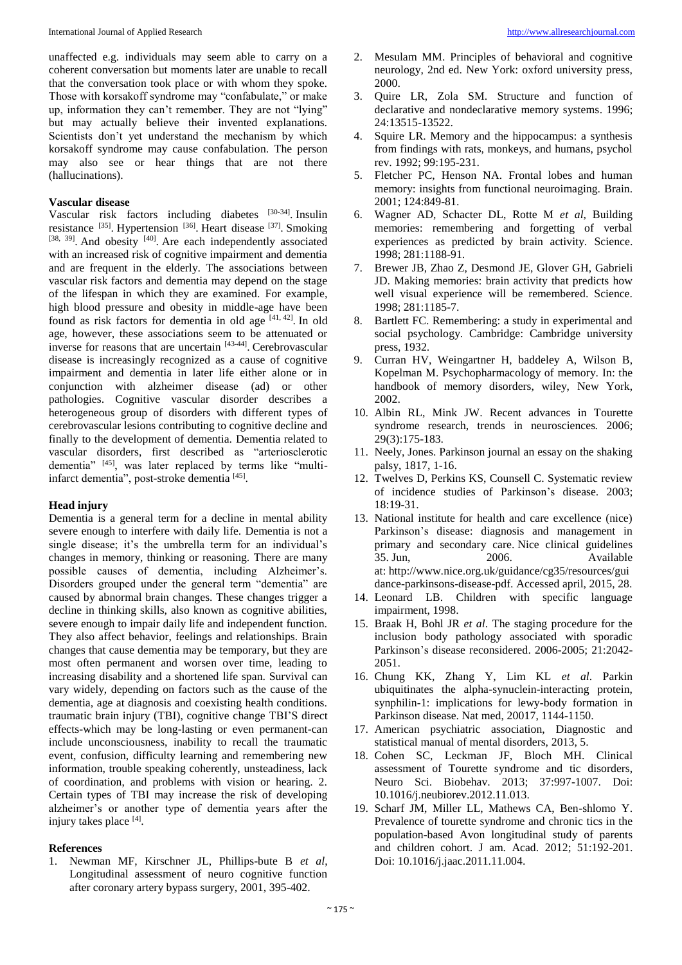unaffected e.g. individuals may seem able to carry on a coherent conversation but moments later are unable to recall that the conversation took place or with whom they spoke. Those with korsakoff syndrome may "confabulate," or make up, information they can't remember. They are not "lying" but may actually believe their invented explanations. Scientists don't yet understand the mechanism by which korsakoff syndrome may cause confabulation. The person may also see or hear things that are not there (hallucinations).

#### **Vascular disease**

Vascular risk factors including diabetes [30-34]. Insulin resistance [35]. Hypertension [36]. Heart disease [37]. Smoking  $[38, 39]$ . And obesity  $[40]$ . Are each independently associated with an increased risk of cognitive impairment and dementia and are frequent in the elderly. The associations between vascular risk factors and dementia may depend on the stage of the lifespan in which they are examined. For example, high blood pressure and obesity in middle-age have been found as risk factors for dementia in old age  $[41, 42]$ . In old age, however, these associations seem to be attenuated or inverse for reasons that are uncertain [43-44]. Cerebrovascular disease is increasingly recognized as a cause of cognitive impairment and dementia in later life either alone or in conjunction with alzheimer disease (ad) or other pathologies. Cognitive vascular disorder describes a heterogeneous group of disorders with different types of cerebrovascular lesions contributing to cognitive decline and finally to the development of dementia. Dementia related to vascular disorders, first described as "arteriosclerotic dementia" [45] , was later replaced by terms like "multiinfarct dementia", post-stroke dementia [45] .

#### **Head injury**

Dementia is a general term for a decline in mental ability severe enough to interfere with daily life. Dementia is not a single disease; it's the umbrella term for an individual's changes in memory, thinking or reasoning. There are many possible causes of dementia, including Alzheimer's. Disorders grouped under the general term "dementia" are caused by abnormal brain changes. These changes trigger a decline in thinking skills, also known as cognitive abilities, severe enough to impair daily life and independent function. They also affect behavior, feelings and relationships. Brain changes that cause dementia may be temporary, but they are most often permanent and worsen over time, leading to increasing disability and a shortened life span. Survival can vary widely, depending on factors such as the cause of the dementia, age at diagnosis and coexisting health conditions. traumatic brain injury (TBI), cognitive change TBI'S direct effects-which may be long-lasting or even permanent-can include unconsciousness, inability to recall the traumatic event, confusion, difficulty learning and remembering new information, trouble speaking coherently, unsteadiness, lack of coordination, and problems with vision or hearing. 2. Certain types of TBI may increase the risk of developing alzheimer's or another type of dementia years after the injury takes place [4] .

#### **References**

1. Newman MF, Kirschner JL, Phillips-bute B *et al*, Longitudinal assessment of neuro cognitive function after coronary artery bypass surgery, 2001, 395-402.

- 2. Mesulam MM. Principles of behavioral and cognitive neurology, 2nd ed. New York: oxford university press, 2000.
- 3. Quire LR, Zola SM. Structure and function of declarative and nondeclarative memory systems. 1996; 24:13515-13522.
- 4. Squire LR. Memory and the hippocampus: a synthesis from findings with rats, monkeys, and humans, psychol rev. 1992; 99:195-231.
- 5. Fletcher PC, Henson NA. Frontal lobes and human memory: insights from functional neuroimaging. Brain. 2001; 124:849-81.
- 6. Wagner AD, Schacter DL, Rotte M *et al*, Building memories: remembering and forgetting of verbal experiences as predicted by brain activity. Science. 1998; 281:1188-91.
- 7. Brewer JB, Zhao Z, Desmond JE, Glover GH, Gabrieli JD. Making memories: brain activity that predicts how well visual experience will be remembered. Science. 1998; 281:1185-7.
- 8. Bartlett FC. Remembering: a study in experimental and social psychology. Cambridge: Cambridge university press, 1932.
- 9. Curran HV, Weingartner H, baddeley A, Wilson B, Kopelman M. Psychopharmacology of memory. In: the handbook of memory disorders, wiley, New York, 2002.
- 10. Albin RL, Mink JW. Recent advances in Tourette syndrome research, trends in neurosciences*.* 2006; 29(3):175-183.
- 11. Neely, Jones. Parkinson journal an essay on the shaking palsy, 1817, 1-16.
- 12. Twelves D, Perkins KS, Counsell C. Systematic review of incidence studies of Parkinson's disease. 2003;  $18.19 - 31$
- 13. National institute for health and care excellence (nice) Parkinson's disease: diagnosis and management in primary and secondary care. Nice clinical guidelines 35. Jun, 2006. Available at: http://www.nice.org.uk/guidance/cg35/resources/gui dance-parkinsons-disease-pdf. Accessed april, 2015, 28.
- 14. Leonard LB. Children with specific language impairment, 1998.
- 15. Braak H, Bohl JR *et al*. The staging procedure for the inclusion body pathology associated with sporadic Parkinson's disease reconsidered. 2006-2005; 21:2042- 2051.
- 16. Chung KK, Zhang Y, Lim KL *et al*. Parkin ubiquitinates the alpha-synuclein-interacting protein, synphilin-1: implications for lewy-body formation in Parkinson disease. Nat med, 20017, 1144-1150.
- 17. American psychiatric association, Diagnostic and statistical manual of mental disorders, 2013, 5.
- 18. Cohen SC, Leckman JF, Bloch MH. Clinical assessment of Tourette syndrome and tic disorders, Neuro Sci. Biobehav. 2013; 37:997-1007. Doi: 10.1016/j.neubiorev.2012.11.013.
- 19. Scharf JM, Miller LL, Mathews CA, Ben-shlomo Y. Prevalence of tourette syndrome and chronic tics in the population-based Avon longitudinal study of parents and children cohort. J am. Acad. 2012; 51:192-201. Doi: 10.1016/j.jaac.2011.11.004.